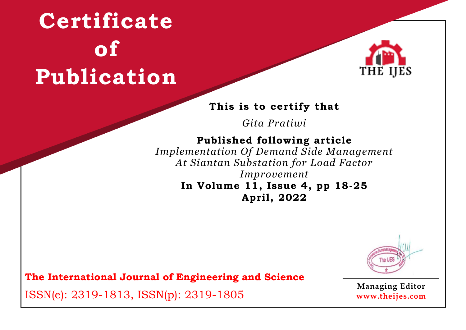

#### **This is to certify that**

*Gita Pratiwi*

### **Published following article**

*Implementation Of Demand Side Management At Siantan Substation for Load Factor Improvement* **In Volume 11, Issue 4, pp 18-25 April, 2022**



**The International Journal of Engineering and Science**

ISSN(e): 2319-1813, ISSN(p): 2319-1805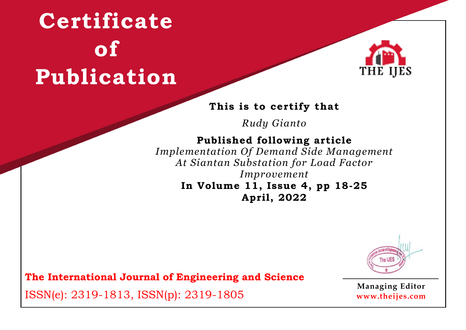

#### **This is to certify that**

*Rudy Gianto*

## **Published following article**

*Implementation Of Demand Side Management At Siantan Substation for Load Factor Improvement* **In Volume 11, Issue 4, pp 18-25 April, 2022**



**The International Journal of Engineering and Science**

ISSN(e): 2319-1813, ISSN(p): 2319-1805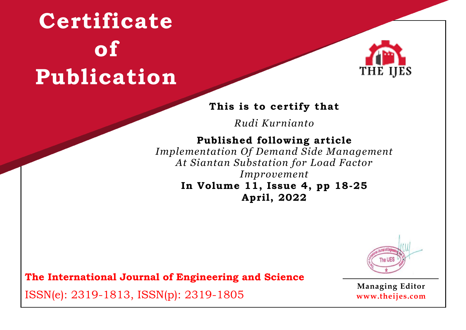

#### **This is to certify that**

*Rudi Kurnianto*

### **Published following article**

*Implementation Of Demand Side Management At Siantan Substation for Load Factor Improvement* **In Volume 11, Issue 4, pp 18-25 April, 2022**



**The International Journal of Engineering and Science**

ISSN(e): 2319-1813, ISSN(p): 2319-1805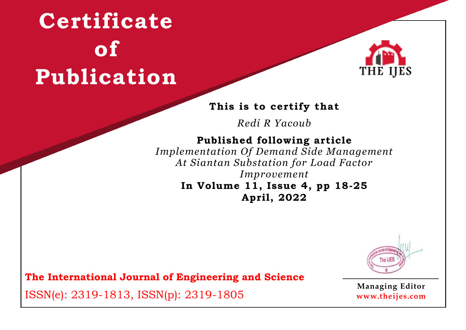

#### **This is to certify that**

*Redi R Yacoub*

## **Published following article**

*Implementation Of Demand Side Management At Siantan Substation for Load Factor Improvement* **In Volume 11, Issue 4, pp 18-25 April, 2022**



**The International Journal of Engineering and Science**

ISSN(e): 2319-1813, ISSN(p): 2319-1805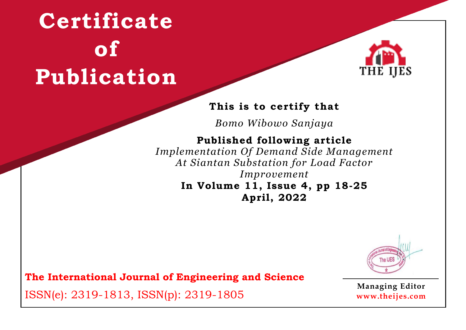

### **This is to certify that**

*Bomo Wibowo Sanjaya*

### **Published following article**

*Implementation Of Demand Side Management At Siantan Substation for Load Factor Improvement* **In Volume 11, Issue 4, pp 18-25 April, 2022**



**The International Journal of Engineering and Science**

ISSN(e): 2319-1813, ISSN(p): 2319-1805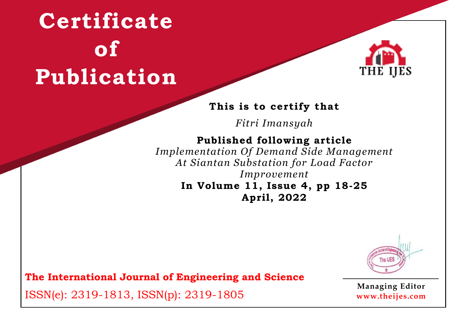

### **This is to certify that**

*Fitri Imansyah*

### **Published following article**

*Implementation Of Demand Side Management At Siantan Substation for Load Factor Improvement* **In Volume 11, Issue 4, pp 18-25 April, 2022**



**The International Journal of Engineering and Science**

ISSN(e): 2319-1813, ISSN(p): 2319-1805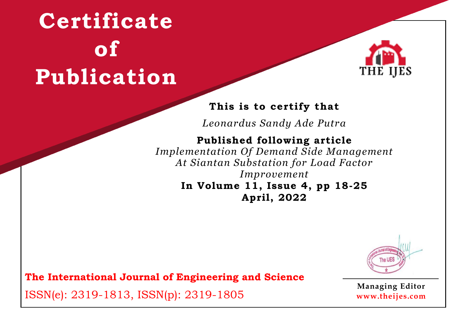

### **This is to certify that**

*Leonardus Sandy Ade Putra*

### **Published following article**

*Implementation Of Demand Side Management At Siantan Substation for Load Factor Improvement* **In Volume 11, Issue 4, pp 18-25 April, 2022**



**The International Journal of Engineering and Science**

ISSN(e): 2319-1813, ISSN(p): 2319-1805